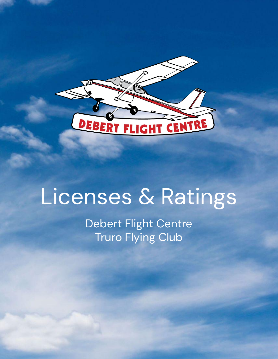

# Licenses & Ratings

Debert Flight Centre Truro Flying Club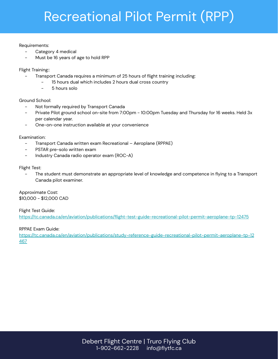# Recreational Pilot Permit (RPP)

# Requirements:

- Category 4 medical
- Must be 16 years of age to hold RPP

Flight Training::

- Transport Canada requires a minimum of 25 hours of flight training including:
	- 15 hours dual which includes 2 hours dual cross country
	- 5 hours solo

# Ground School:

- Not formally required by Transport Canada
- Private Pilot ground school on-site from 7:00pm 10:00pm Tuesday and Thursday for 16 weeks. Held 3x per calendar year.
- One-on-one instruction available at your convenience

Examination:

- Transport Canada written exam Recreational Aeroplane (RPPAE)
- PSTAR pre-solo written exam
- Industry Canada radio operator exam (ROC-A)

Flight Test:

The student must demonstrate an appropriate level of knowledge and competence in flying to a Transport Canada pilot examiner.

Approximate Cost:  $$10,000 - $12,000$  CAD

Flight Test Guide: https://tc.canada.ca/en/aviation/publications/flight-test-guide-recreational-pilot-permit-aeroplane-tp-12475

RPPAE Exam Guide:

https://tc.canada.ca/en/aviation/publications/study-reference-guide-recreational-pilot-permit-aeroplane-tp-12 467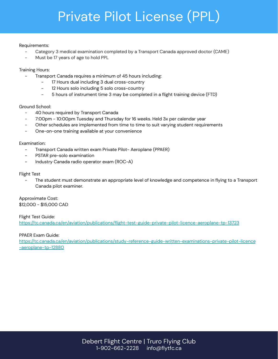# Private Pilot License (PPL)

### Requirements:

- Category 3 medical examination completed by a Transport Canada approved doctor (CAME)
- Must be 17 years of age to hold PPL

# Training Hours:

- Transport Canada requires a minimum of 45 hours including:
	- 17 Hours dual including 3 dual cross-country
	- 12 Hours solo including 5 solo cross-country
	- 5 hours of instrument time 3 may be completed in a flight training device (FTD)

# Ground School:

- 40 hours required by Transport Canada
- 7:00pm 10:00pm Tuesday and Thursday for 16 weeks. Held 3x per calendar year
- Other schedules are implemented from time to time to suit varying student requirements
- One-on-one training available at your convenience

# Examination:

- Transport Canada written exam Private Pilot- Aeroplane (PPAER)
- PSTAR pre-solo examination
- Industry Canada radio operator exam (ROC-A)

# Flight Test

The student must demonstrate an appropriate level of knowledge and competence in flying to a Transport Canada pilot examiner.

Approximate Cost: \$12,000 - \$15,000 CAD

Flight Test Guide: https://tc.canada.ca/en/aviation/publications/flight-test-guide-private-pilot-licence-aeroplane-tp-13723

PPAER Exam Guide:

[https://tc.canada.ca/en/aviation/publications/study-reference-guide-written-examinations-private-pilot-licence](https://tc.canada.ca/en/aviation/publications/study-reference-guide-written-examinations-private-pilot-licence-aeroplane-tp-12880) -aeroplane-tp-12880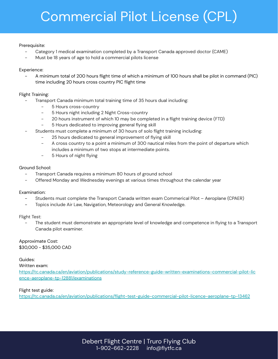# Commercial Pilot License (CPL)

### Prerequisite:

- Category 1 medical examination completed by a Transport Canada approved doctor (CAME)
- Must be 18 years of age to hold a commercial pilots license

# Experience:

A minimum total of 200 hours flight time of which a minimum of 100 hours shall be pilot in command (PIC) time including 20 hours cross country PIC flight time

# Flight Training:

- Transport Canada minimum total training time of 35 hours dual including:
	- 5 Hours cross-country
	- 5 Hours night including 2 Night Cross-country
	- 20 hours instrument of which 10 may be completed in a flight training device (FTD)
	- 5 Hours dedicated to improving general flying skill
- Students must complete a minimum of 30 hours of solo flight training including:
	- 25 hours dedicated to general improvement of flying skill
	- A cross country to a point a minimum of 300 nautical miles from the point of departure which includes a minimum of two stops at intermediate points.
	- 5 Hours of night flying

# Ground School:

- Transport Canada requires a minimum 80 hours of ground school
- Offered Monday and Wednesday evenings at various times throughout the calendar year

### Examination:

- Students must complete the Transport Canada written exam Commerical Pilot Aeroplane (CPAER)
- Topics include Air Law, Navigation, Meteorology and General Knowledge.

### Flight Test:

The student must demonstrate an appropriate level of knowledge and competence in flying to a Transport Canada pilot examiner.

# Approximate Cost:

 $$30,000 - $35,000$  CAD

# Guides:

Written exam:

[https://tc.canada.ca/en/aviation/publications/study-reference-guide-written-examinations-commercial-pilot-lic](https://tc.canada.ca/en/aviation/publications/study-reference-guide-written-examinations-commercial-pilot-licence-aeroplane-tp-12881/examinations) ence-aeroplane-tp-12881/examinations

# Flight test guide:

https://tc.canada.ca/en/aviation/publications/flight-test-guide-commercial-pilot-licence-aeroplane-tp-13462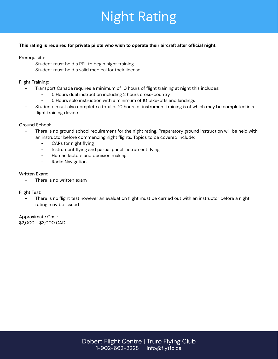# Night Rating

### **This rating is required for private pilots who wish to operate their aircraft after official night.**

Prerequisite:

- Student must hold a PPL to begin night training.
- Student must hold a valid medical for their license.

Flight Training:

- Transport Canada requires a minimum of 10 hours of flight training at night this includes:
	- 5 Hours dual instruction including 2 hours cross-country
	- 5 Hours solo instruction with a minimum of 10 take-offs and landings
- Students must also complete a total of 10 hours of instrument training 5 of which may be completed in a flight training device

Ground School:

- There is no ground school requirement for the night rating. Preparatory ground instruction will be held with an instructor before commencing night flights. Topics to be covered include:
	- CARs for night flying
	- Instrument flying and partial panel instrument flying
	- Human factors and decision making
	- Radio Navigation

### Written Exam:

There is no written exam

Flight Test:

There is no flight test however an evaluation flight must be carried out with an instructor before a night rating may be issued

Approximate Cost: \$2,000 - \$3,000 CAD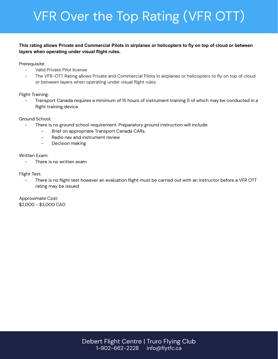# **VFR Over the Top Rating (VFR OTT)**

# This rating allows Private and Commercial Pilots in airplanes or helicopters to fly on top of cloud or between layers when operating under visual flight rules.

Prerequisite:

- Valid Private Pilot license
- The VFR-OTT Rating allows Private and Commercial Pilots in airplanes or helicopters to fly on top of cloud or between layers when operating under visual flight rules.

# Flight Training:

Transport Canada requires a minimum of 15 hours of instrument training 5 of which may be conducted in a flight training device.

# Ground School:

- There is no ground school requirement. Preparatory ground instruction will include:
	- Brief on appropriate Transport Canada CARs.  $\overline{a}$
	- Radio nav and instrument review  $\sim$
	- Decision making  $\overline{a}$

# Written Exam:

There is no written exam  $\mathbb{R}^2$ 

# Flight Test:

There is no flight test however an evaluation flight must be carried out with an instructor before a VFR OTT rating may be issued

Approximate Cost: \$2,000 - \$3,000 CAD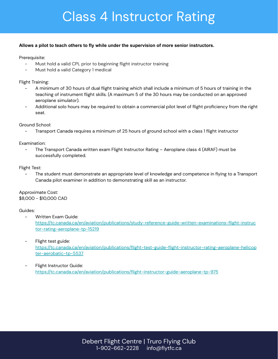# **Class 4 Instructor Rating**

### **Allows a pilot to teach others to fly while under the supervision of more senior instructors.**

Prerequisite:

- Must hold a valid CPL prior to beginning flight instructor training
- Must hold a valid Category 1 medical

Flight Training:

- A minimum of 30 hours of dual flight training which shall include a minimum of 5 hours of training in the teaching of instrument flight skills. (A maximum 5 of the 30 hours may be conducted on an approved aeroplane simulator).
- Additional solo hours may be required to obtain a commercial pilot level of flight proficiency from the right seat.

Ground School:

Transport Canada requires a minimum of 25 hours of ground school with a class 1 flight instructor

Examination:

The Transport Canada written exam Flight Instructor Rating – Aeroplane class 4 (AIRAF) must be successfully completed.

Flight Test:

The student must demonstrate an appropriate level of knowledge and competence in flying to a Transport Canada pilot examiner in addition to demonstrating skill as an instructor.

Approximate Cost:  $$8,000 - $10,000$  CAD

Guides:

- Written Exam Guide: [https://tc.canada.ca/en/aviation/publications/study-reference-guide-written-examinations-flight-instruc](https://tc.canada.ca/en/aviation/publications/study-reference-guide-written-examinations-flight-instructor-rating-aeroplane-tp-15219) tor-rating-aeroplane-tp-15219
- Flight test guide: [https://tc.canada.ca/en/aviation/publications/flight-test-guide-flight-instructor-rating-aeroplane-helicop](https://tc.canada.ca/en/aviation/publications/flight-test-guide-flight-instructor-rating-aeroplane-helicopter-aerobatic-tp-5537) ter-aerobatic-tp-5537
- Flight Instructor Guide: https://tc.canada.ca/en/aviation/publications/flight-instructor-guide-aeroplane-tp-975